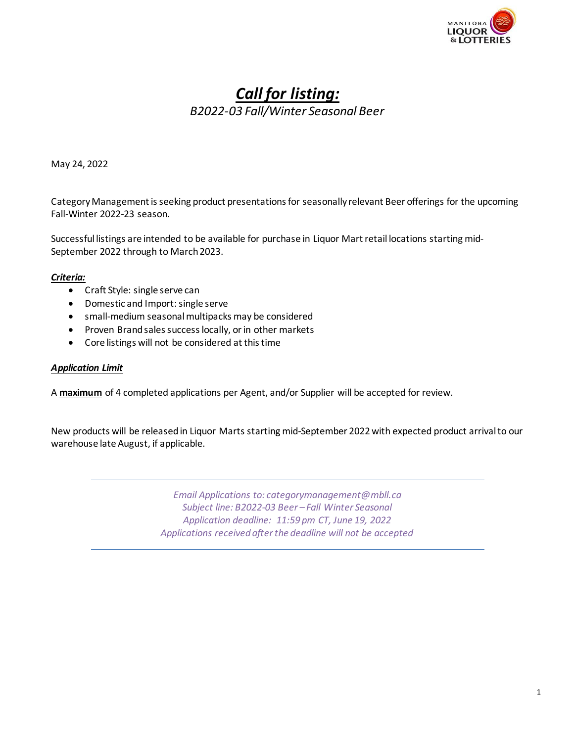

# *Call for listing: B2022-03 Fall/Winter Seasonal Beer*

May 24, 2022

CategoryManagement is seeking product presentations for seasonally relevant Beer offerings for the upcoming Fall-Winter 2022-23 season.

Successful listings are intended to be available for purchase in Liquor Mart retail locations starting mid-September 2022 through to March 2023.

### *Criteria:*

- Craft Style: single serve can
- Domestic and Import: single serve
- small-medium seasonal multipacks may be considered
- Proven Brand sales success locally, or in other markets
- Core listings will not be considered at this time

#### *Application Limit*

A **maximum** of 4 completed applications per Agent, and/or Supplier will be accepted for review.

New products will be released in Liquor Marts starting mid-September 2022 with expected product arrival to our warehouse late August, if applicable.

> *Email Applications to: [categorymanagement@mbll.ca](mailto:categorymanagement@mbll.ca)  Subject line: B2022-03 Beer – Fall Winter Seasonal Application deadline: 11:59 pm CT, June 19, 2022 Applications received after the deadline will not be accepted*